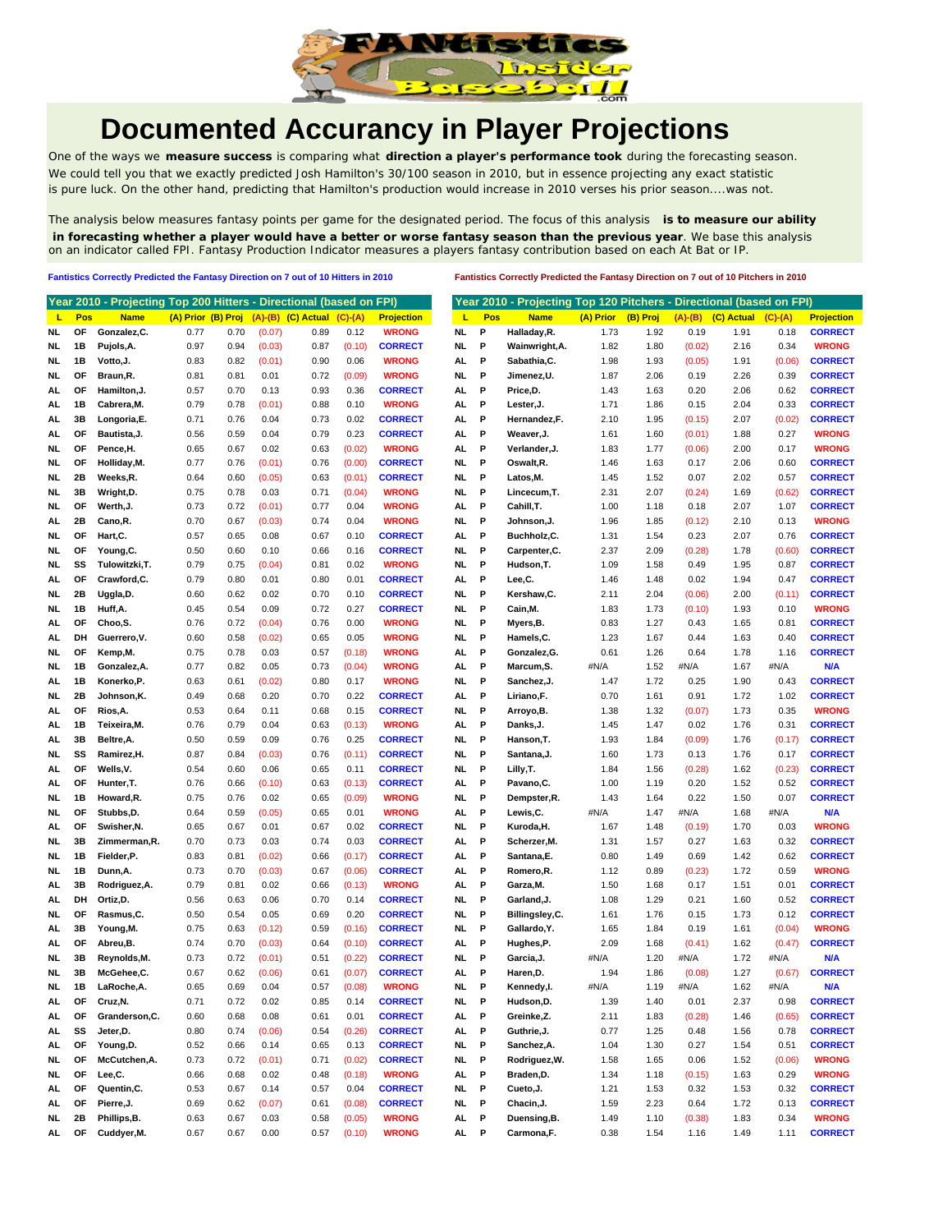

## **Documented Accurancy in Player Projections**

One of the ways we **measure success** is comparing what **direction a player's performance took** during the forecasting season. We could tell you that we exactly predicted Josh Hamilton's 30/100 season in 2010, but in essence projecting any exact statistic is pure luck. On the other hand, predicting that Hamilton's production would increase in 2010 verses his prior season....was not.

The analysis below measures fantasy points per game for the designated period. The focus of this analysis **is to measure our ability in forecasting whether a player would have a better or worse fantasy season than the previous year**. We base this analysis on an indicator called FPI. Fantasy Production Indicator measures a players fantasy contribution based on each At Bat or IP.

**Fantistics Correctly Predicted the Fantasy Direction on 7 out of 10 Hitters in 2010 Fantistics Correctly Predicted the Fantasy Direction on 7 out of 10 Pitchers in 2010**

|           |     | Year 2010 - Projecting Top 200 Hitters - Directional (based on FPI) |      |      |        |                                       |           |                   |     |      | Year 2010 - Projecting Top 120 Pitchers - Directional (based on FPI) |           |          |        |                            |               |                   |
|-----------|-----|---------------------------------------------------------------------|------|------|--------|---------------------------------------|-----------|-------------------|-----|------|----------------------------------------------------------------------|-----------|----------|--------|----------------------------|---------------|-------------------|
| L         | Pos | <b>Name</b>                                                         |      |      |        | (A) Prior (B) Proj (A)-(B) (C) Actual | $(C)-(A)$ | <b>Projection</b> | ш   | Pos  | <b>Name</b>                                                          | (A) Prior | (B) Proj |        | $(A)$ - $(B)$ $(C)$ Actual | $(C)$ - $(A)$ | <b>Projection</b> |
| NL        | OF  | Gonzalez, C.                                                        | 0.77 | 0.70 | (0.07) | 0.89                                  | 0.12      | <b>WRONG</b>      | NL. | Ρ    | Halladay, R.                                                         | 1.73      | 1.92     | 0.19   | 1.91                       | 0.18          | <b>CORRECT</b>    |
| NL        | 1В  | Pujols, A.                                                          | 0.97 | 0.94 | (0.03) | 0.87                                  | (0.10)    | <b>CORRECT</b>    | NL. | P    | Wainwright, A.                                                       | 1.82      | 1.80     | (0.02) | 2.16                       | 0.34          | <b>WRONG</b>      |
| NL.       | 1В  | Votto, J.                                                           | 0.83 | 0.82 | (0.01) | 0.90                                  | 0.06      | <b>WRONG</b>      | AL  | P    | Sabathia, C.                                                         | 1.98      | 1.93     | (0.05) | 1.91                       | (0.06)        | <b>CORRECT</b>    |
| NL        | ΟF  | Braun,R.                                                            | 0.81 | 0.81 | 0.01   | 0.72                                  | (0.09)    | <b>WRONG</b>      | NL. | P    | Jimenez, U.                                                          | 1.87      | 2.06     | 0.19   | 2.26                       | 0.39          | <b>CORRECT</b>    |
| AL        | OF  | Hamilton, J.                                                        | 0.57 | 0.70 | 0.13   | 0.93                                  | 0.36      | <b>CORRECT</b>    | AL  | P    | Price,D.                                                             | 1.43      | 1.63     | 0.20   | 2.06                       | 0.62          | <b>CORRECT</b>    |
| AL        | 1В  | Cabrera, M.                                                         | 0.79 | 0.78 | (0.01) | 0.88                                  | 0.10      | <b>WRONG</b>      | AL  | P    | Lester, J.                                                           | 1.71      | 1.86     | 0.15   | 2.04                       | 0.33          | <b>CORRECT</b>    |
| AL.       | 3B  | Longoria,E.                                                         | 0.71 | 0.76 | 0.04   | 0.73                                  | 0.02      | <b>CORRECT</b>    | AL  | P    | Hernandez,F.                                                         | 2.10      | 1.95     | (0.15) | 2.07                       | (0.02)        | <b>CORRECT</b>    |
| AL        | OF  | Bautista, J.                                                        | 0.56 | 0.59 | 0.04   | 0.79                                  | 0.23      | <b>CORRECT</b>    | AL  | P    | Weaver,J.                                                            | 1.61      | 1.60     | (0.01) | 1.88                       | 0.27          | WRONG             |
| NL        | ΟF  | Pence, H.                                                           | 0.65 | 0.67 | 0.02   | 0.63                                  | (0.02)    | <b>WRONG</b>      | AL  | P    | Verlander, J.                                                        | 1.83      | 1.77     | (0.06) | 2.00                       | 0.17          | <b>WRONG</b>      |
| NL        | ΟF  | Holliday, M.                                                        | 0.77 | 0.76 | (0.01) | 0.76                                  | (0.00)    | <b>CORRECT</b>    | NL. | P    | Oswalt, R.                                                           | 1.46      | 1.63     | 0.17   | 2.06                       | 0.60          | <b>CORRECT</b>    |
| NL        | 2Β  | Weeks,R.                                                            | 0.64 | 0.60 | (0.05) | 0.63                                  | (0.01)    | <b>CORRECT</b>    | NL. | Ρ    | Latos, M.                                                            | 1.45      | 1.52     | 0.07   | 2.02                       | 0.57          | <b>CORRECT</b>    |
| NL.       | 3B  | Wright, D.                                                          | 0.75 | 0.78 | 0.03   | 0.71                                  | (0.04)    | <b>WRONG</b>      | NL. | P    | Lincecum, T.                                                         | 2.31      | 2.07     | (0.24) | 1.69                       | (0.62)        | <b>CORRECT</b>    |
| <b>NL</b> | ΟF  | Werth, J.                                                           | 0.73 | 0.72 | (0.01) | 0.77                                  | 0.04      | <b>WRONG</b>      | AL  | P    | Cahill, T.                                                           | 1.00      | 1.18     | 0.18   | 2.07                       | 1.07          | <b>CORRECT</b>    |
| AL.       | 2Β  | Cano, R.                                                            | 0.70 | 0.67 | (0.03) | 0.74                                  | 0.04      | <b>WRONG</b>      | NL. | P    | Johnson, J.                                                          | 1.96      | 1.85     | (0.12) | 2.10                       | 0.13          | <b>WRONG</b>      |
| NL.       | ΟF  | Hart, C.                                                            | 0.57 | 0.65 | 0.08   | 0.67                                  | 0.10      | <b>CORRECT</b>    | AL  | P    | Buchholz,C.                                                          | 1.31      | 1.54     | 0.23   | 2.07                       | 0.76          | <b>CORRECT</b>    |
| NL        | ΟF  | Young, C.                                                           | 0.50 | 0.60 | 0.10   | 0.66                                  | 0.16      | <b>CORRECT</b>    | NL. | P    | Carpenter, C.                                                        | 2.37      | 2.09     | (0.28) | 1.78                       | (0.60)        | <b>CORRECT</b>    |
| NL        | SS  | Tulowitzki, T.                                                      | 0.79 | 0.75 | (0.04) | 0.81                                  | 0.02      | <b>WRONG</b>      | NL  | P    | Hudson, T.                                                           | 1.09      | 1.58     | 0.49   | 1.95                       | 0.87          | <b>CORRECT</b>    |
| AL        | ΟF  | Crawford,C.                                                         | 0.79 | 0.80 | 0.01   | 0.80                                  | 0.01      | <b>CORRECT</b>    | AL  | P    | Lee,C.                                                               | 1.46      | 1.48     | 0.02   | 1.94                       | 0.47          | <b>CORRECT</b>    |
| NL        | 2Β  | Uggla,D.                                                            | 0.60 | 0.62 | 0.02   | 0.70                                  | 0.10      | <b>CORRECT</b>    | NL. | P    | Kershaw,C.                                                           | 2.11      | 2.04     | (0.06) | 2.00                       | (0.11)        | <b>CORRECT</b>    |
| NL.       | 1В  | Huff,A.                                                             | 0.45 | 0.54 | 0.09   | 0.72                                  | 0.27      | <b>CORRECT</b>    | NL. | P    | Cain, M.                                                             | 1.83      | 1.73     | (0.10) | 1.93                       | 0.10          | <b>WRONG</b>      |
| AL        | OF  | Choo,S.                                                             | 0.76 | 0.72 | (0.04) | 0.76                                  | 0.00      | <b>WRONG</b>      | NL  | P    | Myers, B.                                                            | 0.83      | 1.27     | 0.43   | 1.65                       | 0.81          | <b>CORRECT</b>    |
| AL.       | DH  | Guerrero, V.                                                        | 0.60 | 0.58 | (0.02) | 0.65                                  | 0.05      | <b>WRONG</b>      | NL  | P    | Hamels, C.                                                           | 1.23      | 1.67     | 0.44   | 1.63                       | 0.40          | <b>CORRECT</b>    |
| NL.       | OF  | Kemp,M.                                                             | 0.75 | 0.78 | 0.03   | 0.57                                  | (0.18)    | <b>WRONG</b>      | AL  | P    | Gonzalez, G.                                                         | 0.61      | 1.26     | 0.64   | 1.78                       | 1.16          | <b>CORRECT</b>    |
| NL        | 1В  | Gonzalez, A.                                                        | 0.77 | 0.82 | 0.05   | 0.73                                  | (0.04)    | <b>WRONG</b>      | AL  | P    | Marcum, S.                                                           | #N/A      | 1.52     | #N/A   | 1.67                       | #N/A          | <b>N/A</b>        |
| AL.       | 1В  | Konerko, P.                                                         | 0.63 | 0.61 | (0.02) | 0.80                                  | 0.17      | <b>WRONG</b>      | NL  | P    | Sanchez, J.                                                          | 1.47      | 1.72     | 0.25   | 1.90                       | 0.43          | <b>CORRECT</b>    |
| NL        | 2Β  | Johnson,K.                                                          | 0.49 | 0.68 | 0.20   | 0.70                                  | 0.22      | <b>CORRECT</b>    | AL  | P    | Liriano, F.                                                          | 0.70      | 1.61     | 0.91   | 1.72                       | 1.02          | <b>CORRECT</b>    |
| AL        | OF  | Rios, A.                                                            | 0.53 | 0.64 | 0.11   | 0.68                                  | 0.15      | <b>CORRECT</b>    | NL. | P    | Arroyo, B.                                                           | 1.38      | 1.32     | (0.07) | 1.73                       | 0.35          | <b>WRONG</b>      |
| AL        | 1В  | Teixeira, M.                                                        | 0.76 | 0.79 | 0.04   | 0.63                                  | (0.13)    | <b>WRONG</b>      | AL  | Р    | Danks, J.                                                            | 1.45      | 1.47     | 0.02   | 1.76                       | 0.31          | <b>CORRECT</b>    |
| AL        | 3B  | Beltre, A.                                                          | 0.50 | 0.59 | 0.09   | 0.76                                  | 0.25      | <b>CORRECT</b>    | NL. | P    | Hanson, T.                                                           | 1.93      | 1.84     | (0.09) | 1.76                       | (0.17)        | <b>CORRECT</b>    |
| NL.       | SS  | Ramirez, H.                                                         | 0.87 | 0.84 | (0.03) | 0.76                                  | (0.11)    | <b>CORRECT</b>    | NL. | P    | Santana, J.                                                          | 1.60      | 1.73     | 0.13   | 1.76                       | 0.17          | <b>CORRECT</b>    |
| AL        | OF  | Wells, V.                                                           | 0.54 | 0.60 | 0.06   | 0.65                                  | 0.11      | <b>CORRECT</b>    | NL. | P    | Lilly,T.                                                             | 1.84      | 1.56     | (0.28) | 1.62                       | (0.23)        | <b>CORRECT</b>    |
| AL        | OF  | Hunter, T.                                                          | 0.76 | 0.66 | (0.10) | 0.63                                  | (0.13)    | <b>CORRECT</b>    | AL  | P    | Pavano, C.                                                           | 1.00      | 1.19     | 0.20   | 1.52                       | 0.52          | <b>CORRECT</b>    |
| NL        | 1B  | Howard, R.                                                          | 0.75 | 0.76 | 0.02   | 0.65                                  | (0.09)    | <b>WRONG</b>      | NL. | Р    | Dempster, R.                                                         | 1.43      | 1.64     | 0.22   | 1.50                       | 0.07          | <b>CORRECT</b>    |
| <b>NL</b> | ΟF  | Stubbs, D.                                                          | 0.64 | 0.59 | (0.05) | 0.65                                  | 0.01      | <b>WRONG</b>      | AL  | P    | Lewis, C.                                                            | #N/A      | 1.47     | #N/A   | 1.68                       | #N/A          | <b>N/A</b>        |
| AL        | ΟF  | Swisher, N.                                                         | 0.65 | 0.67 | 0.01   | 0.67                                  | 0.02      | <b>CORRECT</b>    | NL. | P    | Kuroda, H.                                                           | 1.67      | 1.48     | (0.19) | 1.70                       | 0.03          | <b>WRONG</b>      |
| NL        | 3В  | Zimmerman, R.                                                       | 0.70 | 0.73 | 0.03   | 0.74                                  | 0.03      | <b>CORRECT</b>    | AL  | P    | Scherzer, M.                                                         | 1.31      | 1.57     | 0.27   | 1.63                       | 0.32          | <b>CORRECT</b>    |
| NL        | 1В  | Fielder,P.                                                          | 0.83 | 0.81 | (0.02) | 0.66                                  | (0.17)    | <b>CORRECT</b>    | AL  | P    | Santana, E.                                                          | 0.80      | 1.49     | 0.69   | 1.42                       | 0.62          | <b>CORRECT</b>    |
| NL        | 1В  | Dunn, A.                                                            | 0.73 | 0.70 | (0.03) | 0.67                                  | (0.06)    | <b>CORRECT</b>    | AL  | P    | Romero, R.                                                           | 1.12      | 0.89     | (0.23) | 1.72                       | 0.59          | <b>WRONG</b>      |
| AL.       | 3B  | Rodriguez, A.                                                       | 0.79 | 0.81 | 0.02   | 0.66                                  | (0.13)    | <b>WRONG</b>      | AL  | P    | Garza, M.                                                            | 1.50      | 1.68     | 0.17   | 1.51                       | 0.01          | <b>CORRECT</b>    |
| AL        | DH  | Ortiz,D.                                                            | 0.56 | 0.63 | 0.06   | 0.70                                  | 0.14      | <b>CORRECT</b>    | NL. | P    | Garland, J.                                                          | 1.08      | 1.29     | 0.21   | 1.60                       | 0.52          | <b>CORRECT</b>    |
| NL.       | ΟF  | Rasmus, C.                                                          | 0.50 | 0.54 | 0.05   | 0.69                                  | 0.20      | <b>CORRECT</b>    | NL. | P    | Billingsley, C.                                                      | 1.61      | 1.76     | 0.15   | 1.73                       | 0.12          | <b>CORRECT</b>    |
| AL        | 3B  | Young, M.                                                           | 0.75 | 0.63 | (0.12) | 0.59                                  | (0.16)    | <b>CORRECT</b>    | NL  | P    | Gallardo, Y.                                                         | 1.65      | 1.84     | 0.19   | 1.61                       | (0.04)        | <b>WRONG</b>      |
| AL        | ΟF  | Abreu,B.                                                            | 0.74 | 0.70 | (0.03) | 0.64                                  | (0.10)    | <b>CORRECT</b>    | AL  | P    | Hughes,P.                                                            | 2.09      | 1.68     | (0.41) | 1.62                       | (0.47)        | <b>CORRECT</b>    |
| NL        | 3В  | Reynolds,M.                                                         | 0.73 | 0.72 | (0.01) | 0.51                                  | (0.22)    | <b>CORRECT</b>    | NL. | Ρ    | Garcia, J.                                                           | #N/A      | 1.20     | #N/A   | 1.72                       | #N/A          | N/A               |
| NL.       | 3B  | McGehee,C.                                                          | 0.67 | 0.62 | (0.06) | 0.61                                  | (0.07)    | <b>CORRECT</b>    | AL. | P    | Haren, D.                                                            | 1.94      | 1.86     | (0.08) | 1.27                       | (0.67)        | <b>CORRECT</b>    |
| <b>NL</b> | 1B  | LaRoche, A.                                                         | 0.65 | 0.69 | 0.04   | 0.57                                  | (0.08)    | <b>WRONG</b>      | NL  | P    | Kennedy,I.                                                           | #N/A      | 1.19     | #N/A   | 1.62                       | #N/A          | <b>N/A</b>        |
| AL        | OF  | Cruz, N.                                                            | 0.71 | 0.72 | 0.02   | 0.85                                  | 0.14      | <b>CORRECT</b>    | NL. | P    | Hudson, D.                                                           | 1.39      | 1.40     | 0.01   | 2.37                       | 0.98          | <b>CORRECT</b>    |
| AL        | OF  | Granderson, C.                                                      | 0.60 | 0.68 | 0.08   | 0.61                                  | 0.01      | <b>CORRECT</b>    | AL  | P    | Greinke, Z.                                                          | 2.11      | 1.83     | (0.28) | 1.46                       | (0.65)        | <b>CORRECT</b>    |
| AL.       | SS  | Jeter, D.                                                           | 0.80 | 0.74 | (0.06) | 0.54                                  | (0.26)    | <b>CORRECT</b>    | AL  | P    | Guthrie, J.                                                          | 0.77      | 1.25     | 0.48   | 1.56                       | 0.78          | <b>CORRECT</b>    |
| AL.       | OF  | Young,D.                                                            | 0.52 | 0.66 | 0.14   | 0.65                                  | 0.13      | <b>CORRECT</b>    | NL. | P    | Sanchez, A.                                                          | 1.04      | 1.30     | 0.27   | 1.54                       | 0.51          | <b>CORRECT</b>    |
| NL        | ΟF  | McCutchen, A.                                                       | 0.73 | 0.72 | (0.01) | 0.71                                  | (0.02)    | <b>CORRECT</b>    | NL. | P    | Rodriguez, W.                                                        | 1.58      | 1.65     | 0.06   | 1.52                       | (0.06)        | <b>WRONG</b>      |
| NL.       | ΟF  | Lee,C.                                                              | 0.66 | 0.68 | 0.02   | 0.48                                  | (0.18)    | <b>WRONG</b>      | AL  | P    | Braden, D.                                                           | 1.34      | 1.18     | (0.15) | 1.63                       | 0.29          | <b>WRONG</b>      |
| AL.       | ОF  | Quentin, C.                                                         | 0.53 | 0.67 | 0.14   | 0.57                                  | 0.04      | <b>CORRECT</b>    | NL  | P    | Cueto, J.                                                            | 1.21      | 1.53     | 0.32   | 1.53                       | 0.32          | <b>CORRECT</b>    |
| AL.       | ОF  | Pierre, J.                                                          | 0.69 | 0.62 | (0.07) | 0.61                                  | (0.08)    | <b>CORRECT</b>    | NL. | P    | Chacin, J.                                                           | 1.59      | 2.23     | 0.64   | 1.72                       | 0.13          | <b>CORRECT</b>    |
| NL        | 2B  | Phillips, B.                                                        | 0.63 | 0.67 | 0.03   | 0.58                                  | (0.05)    | <b>WRONG</b>      | AL  | P    | Duensing, B.                                                         | 1.49      | 1.10     | (0.38) | 1.83                       | 0.34          | <b>WRONG</b>      |
| AL        | OF  | Cuddyer, M.                                                         | 0.67 | 0.67 | 0.00   | 0.57                                  | (0.10)    | <b>WRONG</b>      |     | AL P | Carmona,F.                                                           | 0.38      | 1.54     | 1.16   | 1.49                       | 1.11          | <b>CORRECT</b>    |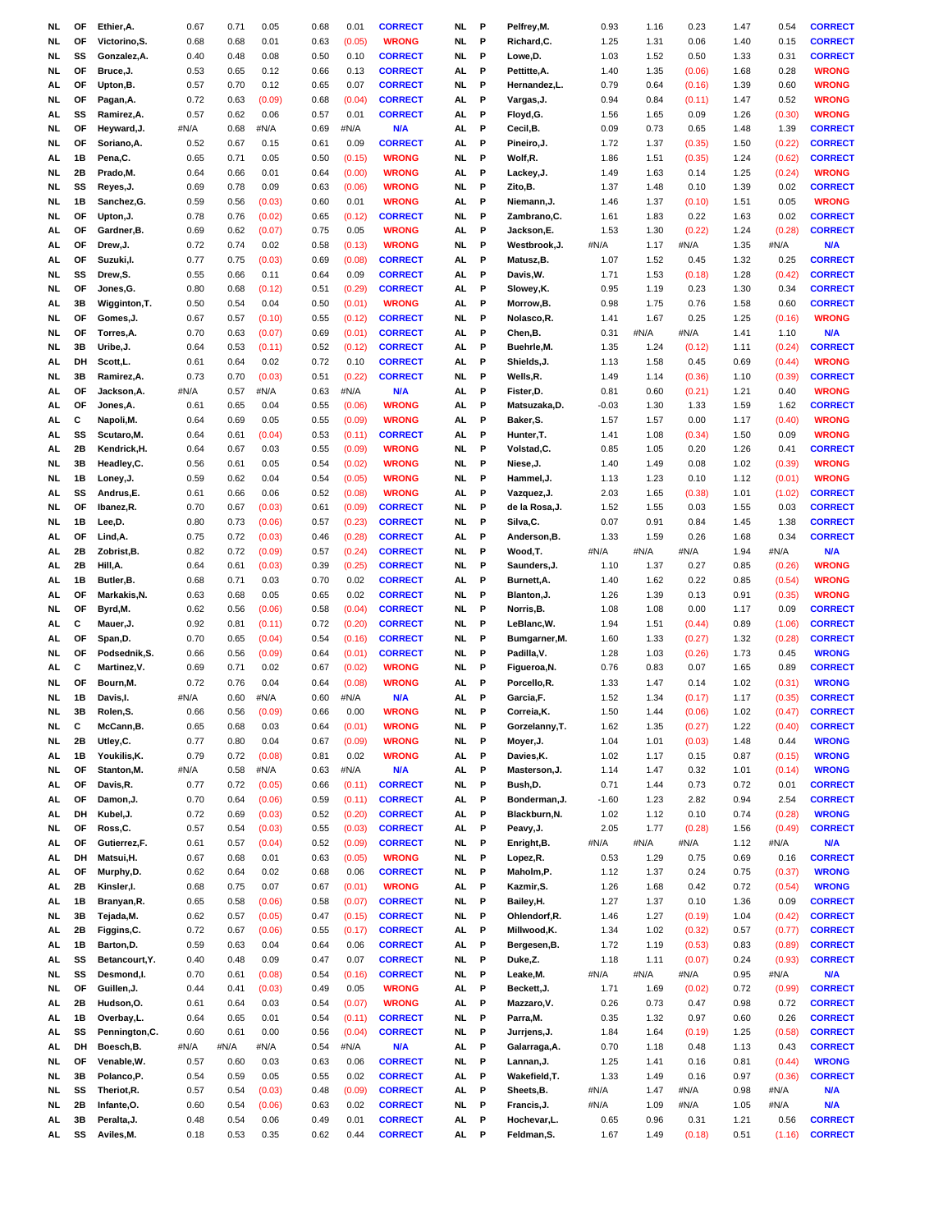| NL. | OF | Ethier, A.     | 0.67 | 0.71 | 0.05   | 0.68 | 0.01   | <b>CORRECT</b> | NL.       | P | Pelfrey, M.    | 0.93    | 1.16 | 0.23   | 1.47 | 0.54   | <b>CORRECT</b> |
|-----|----|----------------|------|------|--------|------|--------|----------------|-----------|---|----------------|---------|------|--------|------|--------|----------------|
| NL. | OF | Victorino, S.  | 0.68 | 0.68 | 0.01   | 0.63 | (0.05) | <b>WRONG</b>   | NL.       | P | Richard, C.    | 1.25    | 1.31 | 0.06   | 1.40 | 0.15   | <b>CORRECT</b> |
| NL  | SS | Gonzalez, A.   | 0.40 | 0.48 | 0.08   | 0.50 | 0.10   | <b>CORRECT</b> | NL.       | P | Lowe,D.        | 1.03    | 1.52 | 0.50   | 1.33 | 0.31   | <b>CORRECT</b> |
|     |    |                |      |      |        |      |        |                |           |   |                |         |      |        |      |        |                |
| NL  | OF | Bruce, J.      | 0.53 | 0.65 | 0.12   | 0.66 | 0.13   | <b>CORRECT</b> | AL        | P | Pettitte, A.   | 1.40    | 1.35 | (0.06) | 1.68 | 0.28   | <b>WRONG</b>   |
| AL  | OF | Upton,B.       | 0.57 | 0.70 | 0.12   | 0.65 | 0.07   | <b>CORRECT</b> | NL        | P | Hernandez,L.   | 0.79    | 0.64 | (0.16) | 1.39 | 0.60   | <b>WRONG</b>   |
| NL. | OF | Pagan, A.      | 0.72 | 0.63 | (0.09) | 0.68 | (0.04) | <b>CORRECT</b> | AL.       | P | Vargas, J.     | 0.94    | 0.84 | (0.11) | 1.47 | 0.52   | <b>WRONG</b>   |
| AL. | SS | Ramirez, A.    | 0.57 | 0.62 | 0.06   | 0.57 | 0.01   | <b>CORRECT</b> | AL        | P | Floyd, G.      | 1.56    | 1.65 | 0.09   | 1.26 | (0.30) | <b>WRONG</b>   |
| NL  | ОF | Heyward, J.    | #N/A | 0.68 | #N/A   | 0.69 | #N/A   | <b>N/A</b>     | AL        | P | Cecil, B.      | 0.09    | 0.73 | 0.65   | 1.48 | 1.39   | <b>CORRECT</b> |
| NL. | OF | Soriano, A.    | 0.52 | 0.67 | 0.15   | 0.61 | 0.09   | <b>CORRECT</b> | AL.       | P | Pineiro, J.    | 1.72    | 1.37 | (0.35) | 1.50 | (0.22) | <b>CORRECT</b> |
| AL  | 1B | Pena,C.        | 0.65 | 0.71 | 0.05   | 0.50 | (0.15) | <b>WRONG</b>   | NL.       | P | Wolf,R.        | 1.86    | 1.51 | (0.35) | 1.24 | (0.62) | <b>CORRECT</b> |
| NL  | 2Β | Prado, M.      | 0.64 | 0.66 | 0.01   | 0.64 | (0.00) | <b>WRONG</b>   | AL.       | P | Lackey,J.      | 1.49    | 1.63 | 0.14   | 1.25 | (0.24) | <b>WRONG</b>   |
|     | SS |                | 0.69 | 0.78 | 0.09   |      |        | <b>WRONG</b>   | NL.       | P |                |         | 1.48 | 0.10   |      |        | <b>CORRECT</b> |
| NL  |    | Reyes, J.      |      |      |        | 0.63 | (0.06) |                |           |   | Zito, B.       | 1.37    |      |        | 1.39 | 0.02   |                |
| NL  | 1B | Sanchez, G.    | 0.59 | 0.56 | (0.03) | 0.60 | 0.01   | <b>WRONG</b>   | AL        | P | Niemann, J.    | 1.46    | 1.37 | (0.10) | 1.51 | 0.05   | <b>WRONG</b>   |
| NL  | OF | Upton, J.      | 0.78 | 0.76 | (0.02) | 0.65 | (0.12) | <b>CORRECT</b> | NL        | P | Zambrano, C.   | 1.61    | 1.83 | 0.22   | 1.63 | 0.02   | <b>CORRECT</b> |
| AL. | OF | Gardner, B.    | 0.69 | 0.62 | (0.07) | 0.75 | 0.05   | <b>WRONG</b>   | AL.       | P | Jackson,E.     | 1.53    | 1.30 | (0.22) | 1.24 | (0.28) | <b>CORRECT</b> |
| AL. | OF | Drew, J.       | 0.72 | 0.74 | 0.02   | 0.58 | (0.13) | <b>WRONG</b>   | NL.       | P | Westbrook, J.  | #N/A    | 1.17 | #N/A   | 1.35 | #N/A   | <b>N/A</b>     |
| AL  | ОF | Suzuki, I.     | 0.77 | 0.75 | (0.03) | 0.69 | (0.08) | <b>CORRECT</b> | AL        | Р | Matusz, B.     | 1.07    | 1.52 | 0.45   | 1.32 | 0.25   | <b>CORRECT</b> |
| NL. | SS | Drew,S.        | 0.55 | 0.66 | 0.11   | 0.64 | 0.09   | <b>CORRECT</b> | AL.       | P | Davis, W.      | 1.71    | 1.53 | (0.18) | 1.28 | (0.42) | <b>CORRECT</b> |
| NL  | OF | Jones, G.      | 0.80 | 0.68 | (0.12) | 0.51 | (0.29) | <b>CORRECT</b> | AL        | P | Slowey,K.      | 0.95    | 1.19 | 0.23   | 1.30 | 0.34   | <b>CORRECT</b> |
|     |    |                |      |      |        |      |        |                |           |   |                |         |      |        |      |        |                |
| AL  | 3B | Wigginton, T.  | 0.50 | 0.54 | 0.04   | 0.50 | (0.01) | <b>WRONG</b>   | AL        | P | Morrow,B.      | 0.98    | 1.75 | 0.76   | 1.58 | 0.60   | <b>CORRECT</b> |
| NL  | OF | Gomes, J.      | 0.67 | 0.57 | (0.10) | 0.55 | (0.12) | <b>CORRECT</b> | NL        | P | Nolasco, R.    | 1.41    | 1.67 | 0.25   | 1.25 | (0.16) | <b>WRONG</b>   |
| NL  | OF | Torres, A.     | 0.70 | 0.63 | (0.07) | 0.69 | (0.01) | <b>CORRECT</b> | AL        | P | Chen,B.        | 0.31    | #N/A | #N/A   | 1.41 | 1.10   | <b>N/A</b>     |
| NL  | 3В | Uribe, J.      | 0.64 | 0.53 | (0.11) | 0.52 | (0.12) | <b>CORRECT</b> | AL        | P | Buehrle, M.    | 1.35    | 1.24 | (0.12) | 1.11 | (0.24) | <b>CORRECT</b> |
| AL  | DH | Scott,L.       | 0.61 | 0.64 | 0.02   | 0.72 | 0.10   | <b>CORRECT</b> | AL.       | P | Shields, J.    | 1.13    | 1.58 | 0.45   | 0.69 | (0.44) | <b>WRONG</b>   |
| NL  | 3B | Ramirez, A.    | 0.73 | 0.70 | (0.03) | 0.51 | (0.22) | <b>CORRECT</b> | NL        | P | Wells,R.       | 1.49    | 1.14 | (0.36) | 1.10 | (0.39) | <b>CORRECT</b> |
|     | OF |                | #N/A | 0.57 | #N/A   | 0.63 | #N/A   | <b>N/A</b>     | AL        | P |                | 0.81    | 0.60 |        |      | 0.40   | <b>WRONG</b>   |
| AL  |    | Jackson, A.    |      |      |        |      |        |                |           |   | Fister,D.      |         |      | (0.21) | 1.21 |        |                |
| AL. | OF | Jones, A.      | 0.61 | 0.65 | 0.04   | 0.55 | (0.06) | <b>WRONG</b>   | AL.       | P | Matsuzaka,D.   | $-0.03$ | 1.30 | 1.33   | 1.59 | 1.62   | <b>CORRECT</b> |
| AL  | c  | Napoli, M.     | 0.64 | 0.69 | 0.05   | 0.55 | (0.09) | <b>WRONG</b>   | AL        | P | Baker, S.      | 1.57    | 1.57 | 0.00   | 1.17 | (0.40) | <b>WRONG</b>   |
| AL  | SS | Scutaro, M.    | 0.64 | 0.61 | (0.04) | 0.53 | (0.11) | <b>CORRECT</b> | AL        | P | Hunter, T.     | 1.41    | 1.08 | (0.34) | 1.50 | 0.09   | <b>WRONG</b>   |
| AL  | 2Β | Kendrick, H.   | 0.64 | 0.67 | 0.03   | 0.55 | (0.09) | <b>WRONG</b>   | NL        | P | Volstad, C.    | 0.85    | 1.05 | 0.20   | 1.26 | 0.41   | <b>CORRECT</b> |
| NL. | 3В | Headley,C.     | 0.56 | 0.61 | 0.05   | 0.54 | (0.02) | <b>WRONG</b>   | NL.       | P | Niese, J.      | 1.40    | 1.49 | 0.08   | 1.02 | (0.39) | <b>WRONG</b>   |
| NL  | 1B | Loney, J.      | 0.59 | 0.62 | 0.04   | 0.54 | (0.05) | <b>WRONG</b>   | NL.       | P | Hammel, J.     | 1.13    | 1.23 | 0.10   | 1.12 | (0.01) | <b>WRONG</b>   |
| AL  | SS | Andrus,E.      | 0.61 | 0.66 | 0.06   | 0.52 | (0.08) | <b>WRONG</b>   | AL        | P | Vazquez, J.    | 2.03    | 1.65 | (0.38) | 1.01 | (1.02) | <b>CORRECT</b> |
|     |    |                |      |      |        |      |        |                |           |   |                |         |      |        |      |        |                |
| NL. | OF | Ibanez, R.     | 0.70 | 0.67 | (0.03) | 0.61 | (0.09) | <b>CORRECT</b> | NL.       | P | de la Rosa,J.  | 1.52    | 1.55 | 0.03   | 1.55 | 0.03   | <b>CORRECT</b> |
| NL  | 1B | Lee,D.         | 0.80 | 0.73 | (0.06) | 0.57 | (0.23) | <b>CORRECT</b> | NL.       | P | Silva, C.      | 0.07    | 0.91 | 0.84   | 1.45 | 1.38   | <b>CORRECT</b> |
| AL. | OF | Lind, A.       | 0.75 | 0.72 | (0.03) | 0.46 | (0.28) | <b>CORRECT</b> | AL.       | P | Anderson,B.    | 1.33    | 1.59 | 0.26   | 1.68 | 0.34   | <b>CORRECT</b> |
| AL  | 2Β | Zobrist, B.    | 0.82 | 0.72 | (0.09) | 0.57 | (0.24) | <b>CORRECT</b> | NL.       | P | Wood,T.        | #N/A    | #N/A | #N/A   | 1.94 | #N/A   | <b>N/A</b>     |
| AL  | 2Β | Hill, A.       | 0.64 | 0.61 | (0.03) | 0.39 | (0.25) | <b>CORRECT</b> | NL        | P | Saunders, J.   | 1.10    | 1.37 | 0.27   | 0.85 | (0.26) | <b>WRONG</b>   |
| AL  | 1B | Butler, B.     | 0.68 | 0.71 | 0.03   | 0.70 | 0.02   | <b>CORRECT</b> | AL        | P | Burnett, A.    | 1.40    | 1.62 | 0.22   | 0.85 | (0.54) | <b>WRONG</b>   |
| AL. | OF | Markakis, N.   | 0.63 | 0.68 | 0.05   | 0.65 | 0.02   | <b>CORRECT</b> | NL.       | P | Blanton, J.    | 1.26    | 1.39 | 0.13   | 0.91 | (0.35) | <b>WRONG</b>   |
| NL. | OF | Byrd, M.       | 0.62 | 0.56 | (0.06) | 0.58 | (0.04) | <b>CORRECT</b> | NL.       | P | Norris, B.     | 1.08    | 1.08 | 0.00   | 1.17 | 0.09   | <b>CORRECT</b> |
|     |    |                |      |      |        |      |        |                |           |   |                |         |      |        |      |        |                |
| AL  | c  | Mauer, J.      | 0.92 | 0.81 | (0.11) | 0.72 | (0.20) | <b>CORRECT</b> | NL.       | P | LeBlanc, W.    | 1.94    | 1.51 | (0.44) | 0.89 | (1.06) | <b>CORRECT</b> |
| AL  | OF | Span,D.        | 0.70 | 0.65 | (0.04) | 0.54 | (0.16) | <b>CORRECT</b> | NL.       | P | Bumgarner, M.  | 1.60    | 1.33 | (0.27) | 1.32 | (0.28) | <b>CORRECT</b> |
| NL. | OF | Podsednik,S.   | 0.66 | 0.56 | (0.09) | 0.64 | (0.01) | <b>CORRECT</b> | NL.       | P | Padilla, V.    | 1.28    | 1.03 | (0.26) | 1.73 | 0.45   | <b>WRONG</b>   |
| AL  | С  | Martinez, V.   | 0.69 | 0.71 | 0.02   | 0.67 | (0.02) | <b>WRONG</b>   | NL        | P | Figueroa, N.   | 0.76    | 0.83 | 0.07   | 1.65 | 0.89   | <b>CORRECT</b> |
| NL. | OF | Bourn, M.      | 0.72 | 0.76 | 0.04   | 0.64 | (0.08) | <b>WRONG</b>   | AL        | P | Porcello,R.    | 1.33    | 1.47 | 0.14   | 1.02 | (0.31) | <b>WRONG</b>   |
| NL. | 1B | Davis.I.       | #N/A | 0.60 | #N/A   | 0.60 | #N/A   | N/A            | AL.       | P | Garcia,F.      | 1.52    | 1.34 | (0.17) | 1.17 | (0.35) | <b>CORRECT</b> |
| NL. | 3B | Rolen,S.       | 0.66 | 0.56 | (0.09) | 0.66 | 0.00   | <b>WRONG</b>   | <b>NL</b> | P | Correia,K.     | 1.50    | 1.44 | (0.06) | 1.02 | (0.47) | <b>CORRECT</b> |
| NL  | c  | McCann, B.     | 0.65 | 0.68 | 0.03   | 0.64 | (0.01) | <b>WRONG</b>   | NL.       | P | Gorzelanny, T. | 1.62    | 1.35 | (0.27) | 1.22 | (0.40) | <b>CORRECT</b> |
|     |    |                |      |      |        |      |        |                |           |   |                |         |      |        |      |        |                |
| NL  | 2B | Utley,C.       | 0.77 | 0.80 | 0.04   | 0.67 | (0.09) | <b>WRONG</b>   | NL.       | P | Moyer, J.      | 1.04    | 1.01 | (0.03) | 1.48 | 0.44   | <b>WRONG</b>   |
| AL  | 1B | Youkilis, K.   | 0.79 | 0.72 | (0.08) | 0.81 | 0.02   | <b>WRONG</b>   | AL.       | P | Davies.K.      | 1.02    | 1.17 | 0.15   | 0.87 | (0.15) | <b>WRONG</b>   |
| NL  | ΟF | Stanton, M.    | #N/A | 0.58 | #N/A   | 0.63 | #N/A   | <b>N/A</b>     | AL        | P | Masterson, J.  | 1.14    | 1.47 | 0.32   | 1.01 | (0.14) | <b>WRONG</b>   |
| AL  | ΟF | Davis, R.      | 0.77 | 0.72 | (0.05) | 0.66 | (0.11) | <b>CORRECT</b> | NL        | P | Bush,D.        | 0.71    | 1.44 | 0.73   | 0.72 | 0.01   | <b>CORRECT</b> |
| AL  | ΟF | Damon, J.      | 0.70 | 0.64 | (0.06) | 0.59 | (0.11) | <b>CORRECT</b> | AL        | P | Bonderman, J.  | $-1.60$ | 1.23 | 2.82   | 0.94 | 2.54   | <b>CORRECT</b> |
| AL  | DH | Kubel, J.      | 0.72 | 0.69 | (0.03) | 0.52 | (0.20) | <b>CORRECT</b> | AL        | P | Blackburn, N.  | 1.02    | 1.12 | 0.10   | 0.74 | (0.28) | <b>WRONG</b>   |
| NL  | ΟF | Ross,C.        | 0.57 | 0.54 | (0.03) | 0.55 | (0.03) | <b>CORRECT</b> | AL        | P | Peavy, J.      | 2.05    | 1.77 | (0.28) | 1.56 | (0.49) | <b>CORRECT</b> |
| AL  | ОF | Gutierrez,F.   | 0.61 | 0.57 | (0.04) | 0.52 | (0.09) | <b>CORRECT</b> | NL.       | P | Enright, B.    | #N/A    | #N/A | #N/A   | 1.12 | #N/A   | <b>N/A</b>     |
|     |    |                |      |      |        |      |        |                |           | P | Lopez, R.      |         |      |        |      |        |                |
| AL  | DH | Matsui, H.     | 0.67 | 0.68 | 0.01   | 0.63 | (0.05) | <b>WRONG</b>   | NL        |   |                | 0.53    | 1.29 | 0.75   | 0.69 | 0.16   | <b>CORRECT</b> |
| AL  | ΟF | Murphy,D.      | 0.62 | 0.64 | 0.02   | 0.68 | 0.06   | <b>CORRECT</b> | NL        | P | Maholm,P.      | 1.12    | 1.37 | 0.24   | 0.75 | (0.37) | <b>WRONG</b>   |
| AL. | 2Β | Kinsler, I.    | 0.68 | 0.75 | 0.07   | 0.67 | (0.01) | <b>WRONG</b>   | AL        | P | Kazmir, S.     | 1.26    | 1.68 | 0.42   | 0.72 | (0.54) | <b>WRONG</b>   |
| AL. | 1B | Branyan, R.    | 0.65 | 0.58 | (0.06) | 0.58 | (0.07) | <b>CORRECT</b> | NL        | P | Bailey, H.     | 1.27    | 1.37 | 0.10   | 1.36 | 0.09   | <b>CORRECT</b> |
| NL  | 3B | Tejada, M.     | 0.62 | 0.57 | (0.05) | 0.47 | (0.15) | <b>CORRECT</b> | NL        | P | Ohlendorf, R.  | 1.46    | 1.27 | (0.19) | 1.04 | (0.42) | <b>CORRECT</b> |
| AL  | 2Β | Figgins, C.    | 0.72 | 0.67 | (0.06) | 0.55 | (0.17) | <b>CORRECT</b> | AL        | P | Millwood,K.    | 1.34    | 1.02 | (0.32) | 0.57 | (0.77) | <b>CORRECT</b> |
| AL  | 1B | Barton, D.     | 0.59 | 0.63 | 0.04   | 0.64 | 0.06   | <b>CORRECT</b> | AL        | P | Bergesen, B.   | 1.72    | 1.19 | (0.53) | 0.83 | (0.89) | <b>CORRECT</b> |
| AL  | SS | Betancourt, Y. | 0.40 | 0.48 | 0.09   | 0.47 | 0.07   | <b>CORRECT</b> | NL.       | P | Duke,Z.        | 1.18    | 1.11 | (0.07) | 0.24 | (0.93) | <b>CORRECT</b> |
|     |    |                |      |      |        |      |        |                |           |   |                |         |      |        |      |        |                |
| NL  | SS | Desmond,I.     | 0.70 | 0.61 | (0.08) | 0.54 | (0.16) | <b>CORRECT</b> | NL.       | P | Leake, M.      | #N/A    | #N/A | #N/A   | 0.95 | #N/A   | <b>N/A</b>     |
| NL  | OF | Guillen, J.    | 0.44 | 0.41 | (0.03) | 0.49 | 0.05   | <b>WRONG</b>   | AL        | P | Beckett, J.    | 1.71    | 1.69 | (0.02) | 0.72 | (0.99) | <b>CORRECT</b> |
| AL  | 2Β | Hudson, O.     | 0.61 | 0.64 | 0.03   | 0.54 | (0.07) | <b>WRONG</b>   | AL        | P | Mazzaro, V.    | 0.26    | 0.73 | 0.47   | 0.98 | 0.72   | <b>CORRECT</b> |
| AL. | 1B | Overbay,L.     | 0.64 | 0.65 | 0.01   | 0.54 | (0.11) | <b>CORRECT</b> | NL        | P | Parra, M.      | 0.35    | 1.32 | 0.97   | 0.60 | 0.26   | <b>CORRECT</b> |
| AL  | SS | Pennington, C. | 0.60 | 0.61 | 0.00   | 0.56 | (0.04) | <b>CORRECT</b> | NL        | P | Jurrjens, J.   | 1.84    | 1.64 | (0.19) | 1.25 | (0.58) | <b>CORRECT</b> |
| AL  | DH | Boesch, B.     | #N/A | #N/A | #N/A   | 0.54 | #N/A   | <b>N/A</b>     | AL        | P | Galarraga, A.  | 0.70    | 1.18 | 0.48   | 1.13 | 0.43   | <b>CORRECT</b> |
| NL  | ΟF | Venable, W.    | 0.57 | 0.60 | 0.03   | 0.63 | 0.06   | <b>CORRECT</b> | NL        | P | Lannan, J.     | 1.25    | 1.41 | 0.16   | 0.81 | (0.44) | <b>WRONG</b>   |
| NL  | 3B | Polanco, P.    | 0.54 | 0.59 | 0.05   | 0.55 | 0.02   | <b>CORRECT</b> | AL        | P | Wakefield, T.  | 1.33    | 1.49 | 0.16   | 0.97 | (0.36) | <b>CORRECT</b> |
| NL  | SS | Theriot, R.    | 0.57 | 0.54 | (0.03) | 0.48 | (0.09) | <b>CORRECT</b> | AL        | P | Sheets, B.     | #N/A    | 1.47 | #N/A   | 0.98 | #N/A   | <b>N/A</b>     |
|     |    |                |      |      |        |      |        |                |           |   |                |         |      |        |      |        |                |
| NL  | 2Β | Infante, O.    | 0.60 | 0.54 | (0.06) | 0.63 | 0.02   | <b>CORRECT</b> | <b>NL</b> | P | Francis, J.    | #N/A    | 1.09 | #N/A   | 1.05 | #N/A   | <b>N/A</b>     |
| AL. | 3В | Peralta, J.    | 0.48 | 0.54 | 0.06   | 0.49 | 0.01   | <b>CORRECT</b> | <b>AL</b> | P | Hochevar,L.    | 0.65    | 0.96 | 0.31   | 1.21 | 0.56   | <b>CORRECT</b> |
| AL  | SS | Aviles, M.     | 0.18 | 0.53 | 0.35   | 0.62 | 0.44   | <b>CORRECT</b> | AL.       | P | Feldman, S.    | 1.67    | 1.49 | (0.18) | 0.51 | (1.16) | <b>CORRECT</b> |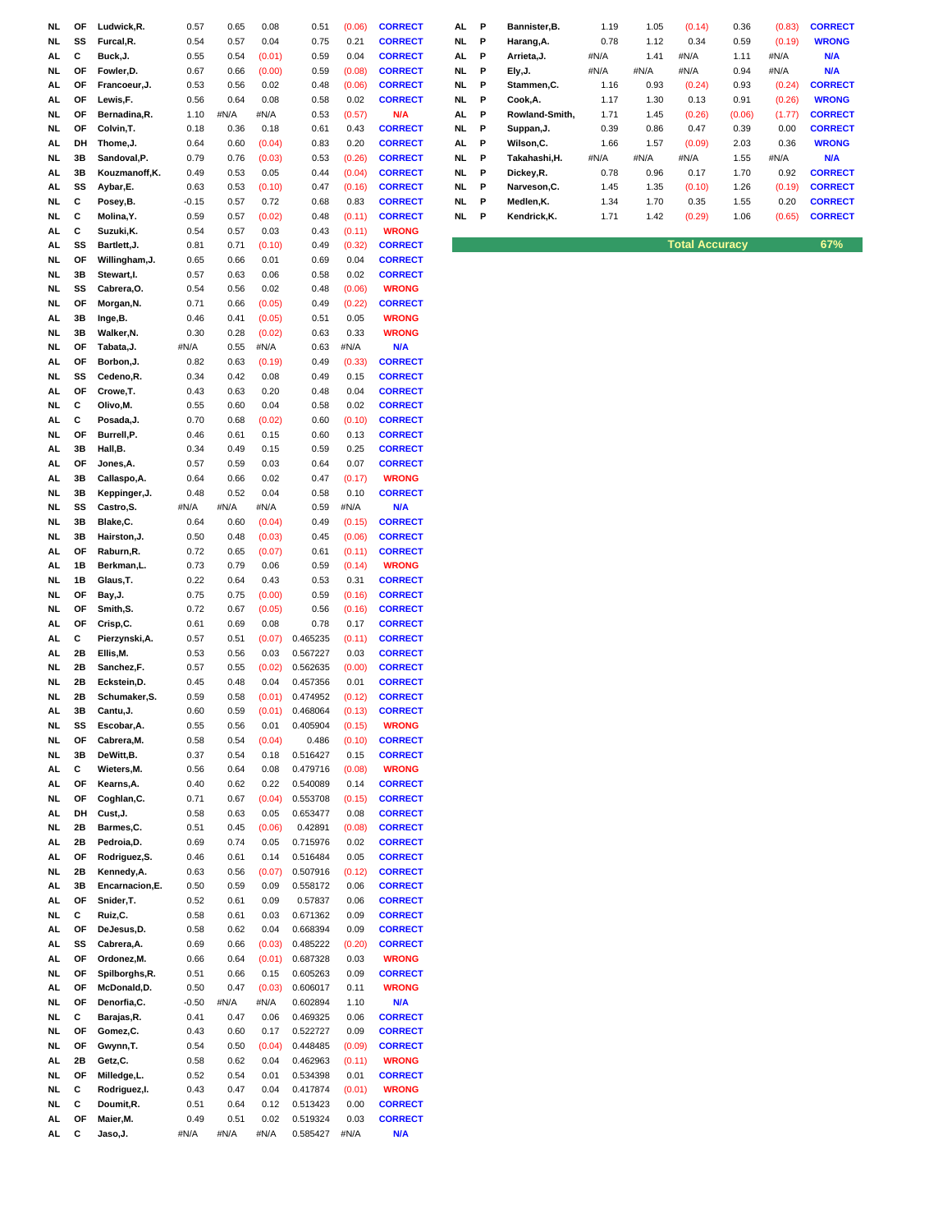| NL  | ΟF | Ludwick, R.     | 0.57    | 0.65 | 0.08   | 0.51     | (0.06) | <b>CORRECT</b> | AL  | Р | Bannister, B.  | 1.19 | 1.05 | (0.14)                | 0.36   | (0.83) | <b>CORREC</b> |
|-----|----|-----------------|---------|------|--------|----------|--------|----------------|-----|---|----------------|------|------|-----------------------|--------|--------|---------------|
| NL  | SS | Furcal, R.      | 0.54    | 0.57 | 0.04   | 0.75     | 0.21   | <b>CORRECT</b> | NL. | P | Harang, A.     | 0.78 | 1.12 | 0.34                  | 0.59   | (0.19) | <b>WRONG</b>  |
|     |    |                 |         |      |        |          |        |                |     |   |                |      |      |                       |        |        |               |
| AL  | c  | Buck, J.        | 0.55    | 0.54 | (0.01) | 0.59     | 0.04   | <b>CORRECT</b> | AL  | P | Arrieta, J.    | #N/A | 1.41 | #N/A                  | 1.11   | #N/A   | <b>N/A</b>    |
| NL  | ΟF | Fowler, D.      | 0.67    | 0.66 | (0.00) | 0.59     | (0.08) | <b>CORRECT</b> | NL  | P | Ely, J.        | #N/A | #N/A | #N/A                  | 0.94   | #N/A   | N/A           |
| AL  | ΟF | Francoeur, J.   | 0.53    | 0.56 | 0.02   | 0.48     | (0.06) | <b>CORRECT</b> | NL  | P | Stammen, C.    | 1.16 | 0.93 | (0.24)                | 0.93   | (0.24) | <b>CORREC</b> |
| AL  | ΟF | Lewis,F.        | 0.56    | 0.64 | 0.08   | 0.58     | 0.02   | <b>CORRECT</b> | NL. | P | Cook, A.       | 1.17 | 1.30 | 0.13                  | 0.91   | (0.26) | <b>WRONG</b>  |
| NL  | ΟF | Bernadina, R.   | 1.10    | #N/A | #N/A   | 0.53     | (0.57) | N/A            | AL  | P | Rowland-Smith, | 1.71 | 1.45 | (0.26)                | (0.06) | (1.77) | <b>CORREC</b> |
| NL  | ОF | Colvin, T.      | 0.18    | 0.36 | 0.18   | 0.61     | 0.43   | <b>CORRECT</b> | NL  | P | Suppan, J.     | 0.39 | 0.86 | 0.47                  | 0.39   | 0.00   | <b>CORREC</b> |
| AL  | DH | Thome, J.       | 0.64    | 0.60 | (0.04) | 0.83     | 0.20   | <b>CORRECT</b> | AL  | Р | Wilson, C.     | 1.66 | 1.57 | (0.09)                | 2.03   | 0.36   | <b>WRONG</b>  |
| NL  | 3В | Sandoval, P.    | 0.79    | 0.76 | (0.03) | 0.53     | (0.26) | <b>CORRECT</b> | NL. | Р | Takahashi, H.  | #N/A | #N/A | #N/A                  | 1.55   | #N/A   | <b>N/A</b>    |
| AL. | 3В | Kouzmanoff,K.   | 0.49    | 0.53 | 0.05   | 0.44     | (0.04) | <b>CORRECT</b> | NL  | P | Dickey, R.     | 0.78 | 0.96 | 0.17                  | 1.70   | 0.92   | <b>CORREC</b> |
| AL. | SS | Aybar, E.       | 0.63    | 0.53 | (0.10) | 0.47     | (0.16) | <b>CORRECT</b> | NL. | P | Narveson, C.   | 1.45 | 1.35 | (0.10)                | 1.26   | (0.19) | <b>CORREC</b> |
| NL  | С  | Posey, B.       | $-0.15$ | 0.57 | 0.72   | 0.68     | 0.83   | <b>CORRECT</b> | NL. | Р | Medlen, K.     | 1.34 | 1.70 | 0.35                  | 1.55   | 0.20   | <b>CORREC</b> |
| NL  | C  | Molina, Y.      | 0.59    | 0.57 | (0.02) | 0.48     | (0.11) | <b>CORRECT</b> | NL. | P | Kendrick, K.   | 1.71 | 1.42 | (0.29)                | 1.06   | (0.65) | <b>CORREC</b> |
| AL. | С  | Suzuki, K.      | 0.54    | 0.57 | 0.03   | 0.43     | (0.11) | <b>WRONG</b>   |     |   |                |      |      |                       |        |        |               |
|     | SS | Bartlett, J.    |         |      |        |          |        |                |     |   |                |      |      | <b>Total Accuracy</b> |        |        | 67%           |
| AL  |    |                 | 0.81    | 0.71 | (0.10) | 0.49     | (0.32) | <b>CORRECT</b> |     |   |                |      |      |                       |        |        |               |
| NL  | ΟF | Willingham, J.  | 0.65    | 0.66 | 0.01   | 0.69     | 0.04   | <b>CORRECT</b> |     |   |                |      |      |                       |        |        |               |
| NL  | 3В | Stewart, I.     | 0.57    | 0.63 | 0.06   | 0.58     | 0.02   | <b>CORRECT</b> |     |   |                |      |      |                       |        |        |               |
| NL. | SS | Cabrera, O.     | 0.54    | 0.56 | 0.02   | 0.48     | (0.06) | <b>WRONG</b>   |     |   |                |      |      |                       |        |        |               |
| NL  | OF | Morgan, N.      | 0.71    | 0.66 | (0.05) | 0.49     | (0.22) | <b>CORRECT</b> |     |   |                |      |      |                       |        |        |               |
| AL  | 3В | Inge,B.         | 0.46    | 0.41 | (0.05) | 0.51     | 0.05   | <b>WRONG</b>   |     |   |                |      |      |                       |        |        |               |
| NL  | 3В | Walker, N.      | 0.30    | 0.28 | (0.02) | 0.63     | 0.33   | <b>WRONG</b>   |     |   |                |      |      |                       |        |        |               |
| NL. | ΟF | Tabata, J.      | #N/A    | 0.55 | #N/A   | 0.63     | #N/A   | <b>N/A</b>     |     |   |                |      |      |                       |        |        |               |
| AL  | OF | Borbon, J.      | 0.82    | 0.63 | (0.19) | 0.49     | (0.33) | <b>CORRECT</b> |     |   |                |      |      |                       |        |        |               |
| NL  | SS | Cedeno,R.       | 0.34    | 0.42 | 0.08   | 0.49     | 0.15   | <b>CORRECT</b> |     |   |                |      |      |                       |        |        |               |
| AL. | ΟF | Crowe, T.       | 0.43    | 0.63 | 0.20   | 0.48     | 0.04   | <b>CORRECT</b> |     |   |                |      |      |                       |        |        |               |
| NL  | С  | Olivo, M.       | 0.55    | 0.60 | 0.04   | 0.58     | 0.02   | <b>CORRECT</b> |     |   |                |      |      |                       |        |        |               |
| AL  | С  | Posada, J.      | 0.70    | 0.68 | (0.02) | 0.60     | (0.10) | <b>CORRECT</b> |     |   |                |      |      |                       |        |        |               |
|     |    |                 |         |      |        |          |        |                |     |   |                |      |      |                       |        |        |               |
| NL  | OF | Burrell,P.      | 0.46    | 0.61 | 0.15   | 0.60     | 0.13   | <b>CORRECT</b> |     |   |                |      |      |                       |        |        |               |
| AL  | 3В | Hall, B.        | 0.34    | 0.49 | 0.15   | 0.59     | 0.25   | <b>CORRECT</b> |     |   |                |      |      |                       |        |        |               |
| AL. | ΟF | Jones, A.       | 0.57    | 0.59 | 0.03   | 0.64     | 0.07   | <b>CORRECT</b> |     |   |                |      |      |                       |        |        |               |
| AL. | 3B | Callaspo, A.    | 0.64    | 0.66 | 0.02   | 0.47     | (0.17) | <b>WRONG</b>   |     |   |                |      |      |                       |        |        |               |
| NL  | 3В | Keppinger, J.   | 0.48    | 0.52 | 0.04   | 0.58     | 0.10   | <b>CORRECT</b> |     |   |                |      |      |                       |        |        |               |
| NL  | SS | Castro, S.      | #N/A    | #N/A | #N/A   | 0.59     | #N/A   | <b>N/A</b>     |     |   |                |      |      |                       |        |        |               |
| NL. | 3В | Blake,C.        | 0.64    | 0.60 | (0.04) | 0.49     | (0.15) | <b>CORRECT</b> |     |   |                |      |      |                       |        |        |               |
| NL  | 3В | Hairston, J.    | 0.50    | 0.48 | (0.03) | 0.45     | (0.06) | <b>CORRECT</b> |     |   |                |      |      |                       |        |        |               |
| AL  | OF | Raburn, R.      | 0.72    | 0.65 | (0.07) | 0.61     | (0.11) | <b>CORRECT</b> |     |   |                |      |      |                       |        |        |               |
| AL  | 1B | Berkman,L.      | 0.73    | 0.79 | 0.06   | 0.59     | (0.14) | <b>WRONG</b>   |     |   |                |      |      |                       |        |        |               |
| NL  | 1B | Glaus, T.       | 0.22    | 0.64 | 0.43   | 0.53     | 0.31   | <b>CORRECT</b> |     |   |                |      |      |                       |        |        |               |
| NL  | ΟF | Bay, J.         | 0.75    | 0.75 | (0.00) | 0.59     | (0.16) | <b>CORRECT</b> |     |   |                |      |      |                       |        |        |               |
| NL. | OF | Smith, S.       | 0.72    | 0.67 | (0.05) | 0.56     | (0.16) | <b>CORRECT</b> |     |   |                |      |      |                       |        |        |               |
| AL  | ΟF | Crisp,C.        | 0.61    | 0.69 | 0.08   | 0.78     | 0.17   | <b>CORRECT</b> |     |   |                |      |      |                       |        |        |               |
| AL  | С  | Pierzynski, A.  | 0.57    | 0.51 | (0.07) | 0.465235 | (0.11) | <b>CORRECT</b> |     |   |                |      |      |                       |        |        |               |
|     | 2Β | Ellis, M.       | 0.53    |      | 0.03   | 0.567227 | 0.03   | <b>CORRECT</b> |     |   |                |      |      |                       |        |        |               |
| AL. |    |                 |         | 0.56 |        |          |        |                |     |   |                |      |      |                       |        |        |               |
| NL  | 2Β | Sanchez, F.     | 0.57    | 0.55 | (0.02) | 0.562635 | (0.00) | <b>CORRECT</b> |     |   |                |      |      |                       |        |        |               |
| NL  | 2Β | Eckstein,D.     | 0.45    | 0.48 | 0.04   | 0.457356 | 0.01   | <b>CORRECT</b> |     |   |                |      |      |                       |        |        |               |
| NL  | 2Β | Schumaker, S.   | 0.59    | 0.58 | (0.01) | 0.474952 | (0.12) | <b>CORRECT</b> |     |   |                |      |      |                       |        |        |               |
| AL  | 3В | Cantu, J.       | 0.60    | 0.59 | (0.01) | 0.468064 | (0.13) | <b>CORRECT</b> |     |   |                |      |      |                       |        |        |               |
| NL  | SS | Escobar, A.     | 0.55    | 0.56 | 0.01   | 0.405904 | (0.15) | <b>WRONG</b>   |     |   |                |      |      |                       |        |        |               |
| NL  | ΟF | Cabrera, M.     | 0.58    | 0.54 | (0.04) | 0.486    | (0.10) | <b>CORRECT</b> |     |   |                |      |      |                       |        |        |               |
| NL  | 3В | DeWitt, B.      | 0.37    | 0.54 | 0.18   | 0.516427 | 0.15   | <b>CORRECT</b> |     |   |                |      |      |                       |        |        |               |
| AL. | С  | Wieters, M.     | 0.56    | 0.64 | 0.08   | 0.479716 | (0.08) | <b>WRONG</b>   |     |   |                |      |      |                       |        |        |               |
| AL  | ΟF | Kearns, A.      | 0.40    | 0.62 | 0.22   | 0.540089 | 0.14   | <b>CORRECT</b> |     |   |                |      |      |                       |        |        |               |
| NL  | ΟF | Coghlan, C.     | 0.71    | 0.67 | (0.04) | 0.553708 | (0.15) | <b>CORRECT</b> |     |   |                |      |      |                       |        |        |               |
| AL  | DH | Cust, J.        | 0.58    | 0.63 | 0.05   | 0.653477 | 0.08   | <b>CORRECT</b> |     |   |                |      |      |                       |        |        |               |
| NL. | 2B | Barmes,C.       | 0.51    | 0.45 | (0.06) | 0.42891  | (0.08) | <b>CORRECT</b> |     |   |                |      |      |                       |        |        |               |
| AL. | 2B | Pedroia,D.      | 0.69    | 0.74 | 0.05   | 0.715976 | 0.02   | <b>CORRECT</b> |     |   |                |      |      |                       |        |        |               |
| AL  | ΟF | Rodriguez, S.   | 0.46    | 0.61 | 0.14   | 0.516484 | 0.05   | <b>CORRECT</b> |     |   |                |      |      |                       |        |        |               |
| NL  | 2Β | Kennedy, A.     | 0.63    | 0.56 | (0.07) | 0.507916 | (0.12) | <b>CORRECT</b> |     |   |                |      |      |                       |        |        |               |
| AL  | 3В | Encarnacion, E. | 0.50    | 0.59 | 0.09   | 0.558172 | 0.06   | <b>CORRECT</b> |     |   |                |      |      |                       |        |        |               |
| AL. | ОF | Snider, T.      | 0.52    | 0.61 | 0.09   | 0.57837  | 0.06   | <b>CORRECT</b> |     |   |                |      |      |                       |        |        |               |
|     |    | Ruiz, C.        |         |      |        | 0.671362 |        | <b>CORRECT</b> |     |   |                |      |      |                       |        |        |               |
| NL  | С  |                 | 0.58    | 0.61 | 0.03   |          | 0.09   |                |     |   |                |      |      |                       |        |        |               |
| AL  | ΟF | DeJesus, D.     | 0.58    | 0.62 | 0.04   | 0.668394 | 0.09   | <b>CORRECT</b> |     |   |                |      |      |                       |        |        |               |
| AL  | SS | Cabrera, A.     | 0.69    | 0.66 | (0.03) | 0.485222 | (0.20) | <b>CORRECT</b> |     |   |                |      |      |                       |        |        |               |
| AL. | ΟF | Ordonez, M.     | 0.66    | 0.64 | (0.01) | 0.687328 | 0.03   | <b>WRONG</b>   |     |   |                |      |      |                       |        |        |               |
| NL  | OF | Spilborghs, R.  | 0.51    | 0.66 | 0.15   | 0.605263 | 0.09   | <b>CORRECT</b> |     |   |                |      |      |                       |        |        |               |
| AL  | ΟF | McDonald,D.     | 0.50    | 0.47 | (0.03) | 0.606017 | 0.11   | <b>WRONG</b>   |     |   |                |      |      |                       |        |        |               |
| NL  | ΟF | Denorfia,C.     | -0.50   | #N/A | #N/A   | 0.602894 | 1.10   | N/A            |     |   |                |      |      |                       |        |        |               |
| NL  | С  | Barajas, R.     | 0.41    | 0.47 | 0.06   | 0.469325 | 0.06   | <b>CORRECT</b> |     |   |                |      |      |                       |        |        |               |
| NL  | ΟF | Gomez, C.       | 0.43    | 0.60 | 0.17   | 0.522727 | 0.09   | <b>CORRECT</b> |     |   |                |      |      |                       |        |        |               |
| NL  | ΟF | Gwynn, T.       | 0.54    | 0.50 | (0.04) | 0.448485 | (0.09) | <b>CORRECT</b> |     |   |                |      |      |                       |        |        |               |
| AL. | 2Β | Getz, C.        | 0.58    | 0.62 | 0.04   | 0.462963 | (0.11) | <b>WRONG</b>   |     |   |                |      |      |                       |        |        |               |
| NL  | ΟF | Milledge, L.    | 0.52    | 0.54 | 0.01   | 0.534398 | 0.01   | <b>CORRECT</b> |     |   |                |      |      |                       |        |        |               |
| NL  | С  | Rodriguez, I.   | 0.43    | 0.47 | 0.04   | 0.417874 | (0.01) | <b>WRONG</b>   |     |   |                |      |      |                       |        |        |               |
| NL  | С  | Doumit, R.      | 0.51    | 0.64 | 0.12   | 0.513423 | 0.00   | <b>CORRECT</b> |     |   |                |      |      |                       |        |        |               |
|     |    |                 |         |      |        |          |        |                |     |   |                |      |      |                       |        |        |               |
| AL  | ОF | Maier, M.       | 0.49    | 0.51 | 0.02   | 0.519324 | 0.03   | <b>CORRECT</b> |     |   |                |      |      |                       |        |        |               |
| AL  | c  | Jaso, J.        | #N/A    | #N/A | #N/A   | 0.585427 | #N/A   | <b>N/A</b>     |     |   |                |      |      |                       |        |        |               |

| NL. | ΟF | Ludwick.R.     | 0.57    | 0.65 | 0.08   | 0.51 | (0.06) | <b>CORRECT</b> | AL        | P   | Bannister.B.   | 1.19 | 1.05 | (0.14) | 0.36   | (0.83) | <b>CORRECT</b> |
|-----|----|----------------|---------|------|--------|------|--------|----------------|-----------|-----|----------------|------|------|--------|--------|--------|----------------|
| ۹L. | SS | Furcal, R.     | 0.54    | 0.57 | 0.04   | 0.75 | 0.21   | <b>CORRECT</b> | NL.       | - P | Harang, A.     | 0.78 | 1.12 | 0.34   | 0.59   | (0.19) | <b>WRONG</b>   |
| AL. | С  | Buck,J.        | 0.55    | 0.54 | (0.01) | 0.59 | 0.04   | <b>CORRECT</b> | AL        | -P  | Arrieta, J.    | #N/A | 1.41 | #N/A   | 1.11   | #N/A   | <b>N/A</b>     |
| NL. | ОF | Fowler,D.      | 0.67    | 0.66 | (0.00) | 0.59 | (0.08) | <b>CORRECT</b> | NL.       | P   | Ely, J.        | #N/A | #N/A | #N/A   | 0.94   | #N/A   | <b>N/A</b>     |
| AL. | ОF | Francoeur, J.  | 0.53    | 0.56 | 0.02   | 0.48 | (0.06) | <b>CORRECT</b> | NL.       | P   | Stammen, C.    | 1.16 | 0.93 | (0.24) | 0.93   | (0.24) | <b>CORRECT</b> |
| AL. | ΟF | Lewis,F.       | 0.56    | 0.64 | 0.08   | 0.58 | 0.02   | <b>CORRECT</b> | NL.       | P   | Cook.A.        | 1.17 | 1.30 | 0.13   | 0.91   | (0.26) | <b>WRONG</b>   |
| NL  | ОF | Bernadina.R.   | 1.10    | #N/A | #N/A   | 0.53 | (0.57) | N/A            | AL        | P   | Rowland-Smith. | 1.71 | 1.45 | (0.26) | (0.06) | (1.77) | <b>CORRECT</b> |
| NL. | ΟF | Colvin.T.      | 0.18    | 0.36 | 0.18   | 0.61 | 0.43   | <b>CORRECT</b> | NL.       | -P  | Suppan, J.     | 0.39 | 0.86 | 0.47   | 0.39   | 0.00   | <b>CORRECT</b> |
| AL. | DH | Thome.J.       | 0.64    | 0.60 | (0.04) | 0.83 | 0.20   | <b>CORRECT</b> | AL        | P   | Wilson.C.      | 1.66 | 1.57 | (0.09) | 2.03   | 0.36   | <b>WRONG</b>   |
| ۹L  | 3В | Sandoval.P.    | 0.79    | 0.76 | (0.03) | 0.53 | (0.26) | <b>CORRECT</b> | NL.       | - P | Takahashi.H.   | #N/A | #N/A | #N/A   | 1.55   | #N/A   | <b>N/A</b>     |
| AL. | 3В | Kouzmanoff, K. | 0.49    | 0.53 | 0.05   | 0.44 | (0.04) | <b>CORRECT</b> | <b>NL</b> | - P | Dickey, R.     | 0.78 | 0.96 | 0.17   | 1.70   | 0.92   | <b>CORRECT</b> |
| AL. | SS | Aybar, E.      | 0.63    | 0.53 | (0.10) | 0.47 | (0.16) | <b>CORRECT</b> | NL.       | P   | Narveson, C.   | 1.45 | 1.35 | (0.10) | 1.26   | (0.19) | <b>CORRECT</b> |
| ۷L. | C  | Posey, B.      | $-0.15$ | 0.57 | 0.72   | 0.68 | 0.83   | <b>CORRECT</b> | NL.       | - P | Medlen.K.      | 1.34 | 1.70 | 0.35   | 1.55   | 0.20   | <b>CORRECT</b> |
| NL. | С  | Molina.Y.      | 0.59    | 0.57 | (0.02) | 0.48 | (0.11) | <b>CORRECT</b> | NL.       | P   | Kendrick.K.    | 1.71 | 1.42 | (0.29) | 1.06   | (0.65) | <b>CORRECT</b> |
| AL. | C  | Suzuki.K.      | 0.54    | 0.57 | 0.03   | 0.43 | (0.11) | <b>WRONG</b>   |           |     |                |      |      |        |        |        |                |

**ALCOMIES BARTLETT CORRECTION CORRECT** 67%